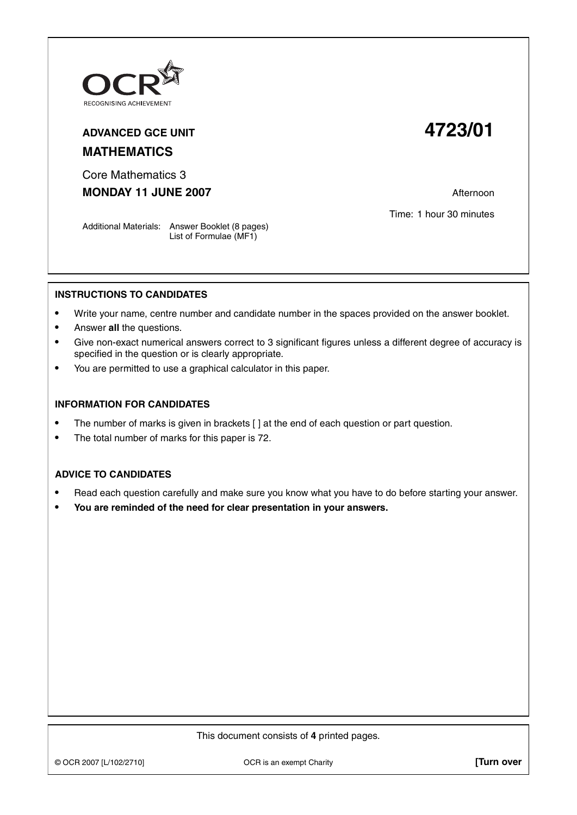

## **ADVANCED GCE UNIT 4723/01 MATHEMATICS**

Core Mathematics 3 **MONDAY 11 JUNE 2007 Afternoon** 

Time: 1 hour 30 minutes

Additional Materials: Answer Booklet (8 pages) List of Formulae (MF1)

## **INSTRUCTIONS TO CANDIDATES**

- **•** Write your name, centre number and candidate number in the spaces provided on the answer booklet.
- **•** Answer **all** the questions.
- **•** Give non-exact numerical answers correct to 3 significant figures unless a different degree of accuracy is specified in the question or is clearly appropriate.
- **•** You are permitted to use a graphical calculator in this paper.

## **INFORMATION FOR CANDIDATES**

- The number of marks is given in brackets [] at the end of each question or part question.
- **•** The total number of marks for this paper is 72.

## **ADVICE TO CANDIDATES**

- **•** Read each question carefully and make sure you know what you have to do before starting your answer.
- **• You are reminded of the need for clear presentation in your answers.**

This document consists of **4** printed pages.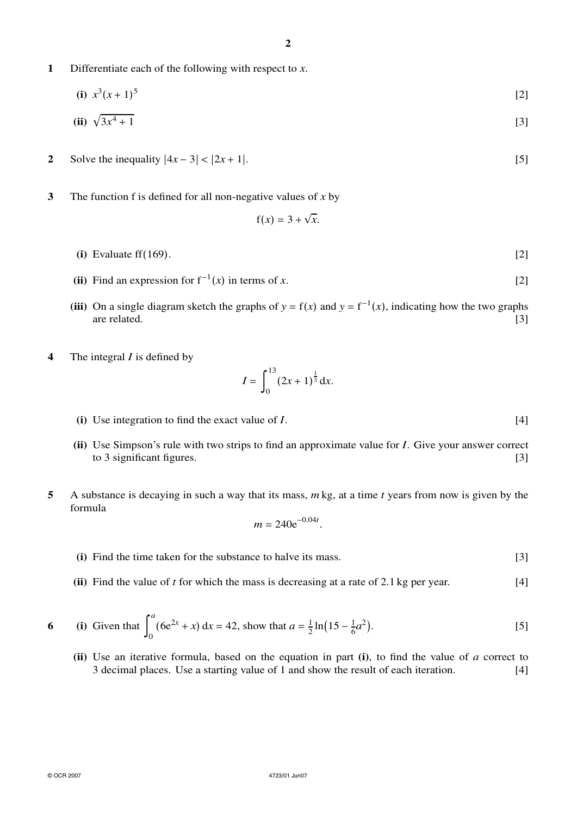**1** Differentiate each of the following with respect to *x*.

(i) 
$$
x^3(x+1)^5
$$
 [2]

(ii) 
$$
\sqrt{3x^4 + 1}
$$
 [3]

- **2** Solve the inequality  $|4x 3| < |2x + 1|$ . [5]
- **3** The function f is defined for all non-negative values of *x* by

$$
f(x) = 3 + \sqrt{x}.
$$

- **(i)** Evaluate ff(169). [2]
- (ii) Find an expression for  $f^{-1}(x)$  in terms of *x*. [2]
- (iii) On a single diagram sketch the graphs of  $y = f(x)$  and  $y = f^{-1}(x)$ , indicating how the two graphs are related. [3]
- **4** The integral *I* is defined by

$$
I = \int_0^{13} (2x+1)^{\frac{1}{3}} dx.
$$

- **(i)** Use integration to find the exact value of *I*. [4]
- **(ii)** Use Simpson's rule with two strips to find an approximate value for *I*. Give your answer correct to 3 significant figures.  $[3]$
- **5** A substance is decaying in such a way that its mass, *m* kg, at a time *t* years from now is given by the formula

$$
m = 240 e^{-0.04t}.
$$

- **(i)** Find the time taken for the substance to halve its mass. [3]
- **(ii)** Find the value of *t* for which the mass is decreasing at a rate of 2.1 kg per year. [4]

6 (i) Given that 
$$
\int_0^a (6e^{2x} + x) dx = 42
$$
, show that  $a = \frac{1}{2} \ln(15 - \frac{1}{6}a^2)$ . [5]

**(ii)** Use an iterative formula, based on the equation in part **(i)**, to find the value of *a* correct to 3 decimal places. Use a starting value of 1 and show the result of each iteration. [4]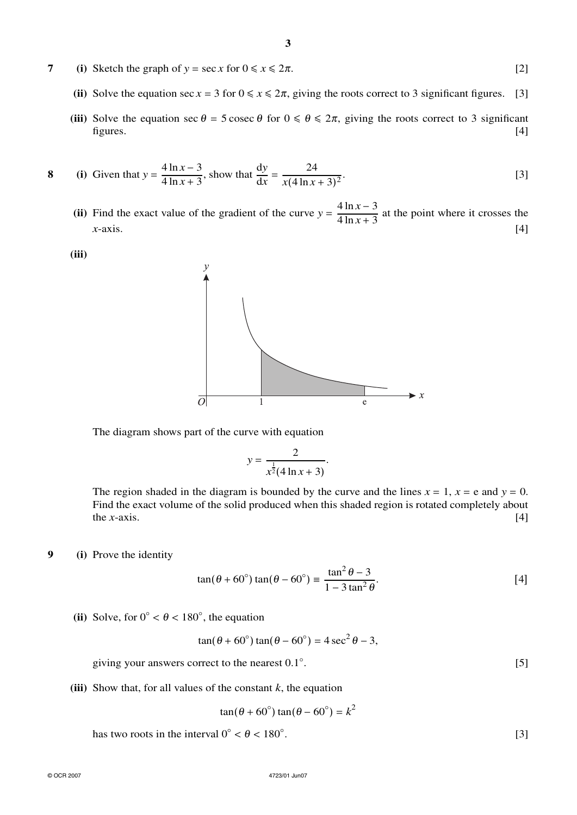- **7** (i) Sketch the graph of  $y = \sec x$  for  $0 \le x \le 2\pi$ . [2]
	- (ii) Solve the equation sec  $x = 3$  for  $0 \le x \le 2\pi$ , giving the roots correct to 3 significant figures. [3]
	- (iii) Solve the equation sec  $\theta = 5$  cosec  $\theta$  for  $0 \le \theta \le 2\pi$ , giving the roots correct to 3 significant figures. figures. [4]
- **8** (i) Given that  $y = \frac{4 \ln x 3}{4 \ln x + 3}$ , show that  $\frac{dy}{dx} = \frac{24}{x(4 \ln x + 3)^2}$ . [3]
	- (ii) Find the exact value of the gradient of the curve  $y = \frac{4 \ln x 3}{4 \ln x + 3}$  at the point where it crosses the  $x$ -axis.  $[4]$

**(iii)**



The diagram shows part of the curve with equation

$$
y = \frac{2}{x^{\frac{1}{2}}(4\ln x + 3)}.
$$

The region shaded in the diagram is bounded by the curve and the lines  $x = 1$ ,  $x = e$  and  $y = 0$ . Find the exact volume of the solid produced when this shaded region is rotated completely about the *x*-axis.  $[4]$ 

**9 (i)** Prove the identity

$$
\tan(\theta + 60^\circ)\tan(\theta - 60^\circ) \equiv \frac{\tan^2 \theta - 3}{1 - 3\tan^2 \theta}.
$$
 [4]

(ii) Solve, for  $0^{\circ} < \theta < 180^{\circ}$ , the equation

$$
\tan(\theta + 60^{\circ})\tan(\theta - 60^{\circ}) = 4\sec^2\theta - 3,
$$

giving your answers correct to the nearest 0.1◦ .  $[5]$ 

**(iii)** Show that, for all values of the constant  $k$ , the equation

$$
\tan(\theta + 60^\circ)\tan(\theta - 60^\circ) = k^2
$$

has two roots in the interval  $0° < \theta < 180°$ .

.  $[3]$